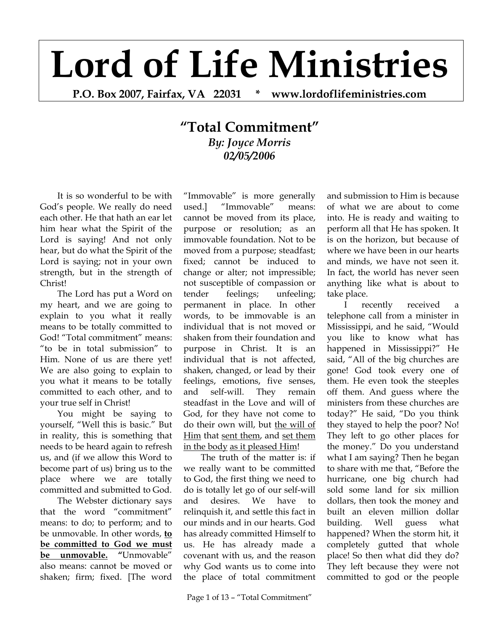## **Lord of Life Ministries**

**P.O. Box 2007, Fairfax, VA 22031 \* www.lordoflifeministries.com** 

## **"Total Commitment"** *By: Joyce Morris 02/05/2006*

It is so wonderful to be with God's people. We really do need each other. He that hath an ear let him hear what the Spirit of the Lord is saying! And not only hear, but do what the Spirit of the Lord is saying; not in your own strength, but in the strength of Christ!

The Lord has put a Word on my heart, and we are going to explain to you what it really means to be totally committed to God! "Total commitment" means: "to be in total submission" to Him. None of us are there yet! We are also going to explain to you what it means to be totally committed to each other, and to your true self in Christ!

You might be saying to yourself, "Well this is basic." But in reality, this is something that needs to be heard again to refresh us, and (if we allow this Word to become part of us) bring us to the place where we are totally committed and submitted to God.

The Webster dictionary says that the word "commitment" means: to do; to perform; and to be unmovable. In other words, **to be committed to God we must be unmovable. "**Unmovable" also means: cannot be moved or shaken; firm; fixed. [The word

"Immovable" is more generally used.] "Immovable" means: cannot be moved from its place, purpose or resolution; as an immovable foundation. Not to be moved from a purpose; steadfast; fixed; cannot be induced to change or alter; not impressible; not susceptible of compassion or tender feelings; unfeeling; permanent in place. In other words, to be immovable is an individual that is not moved or shaken from their foundation and purpose in Christ. It is an individual that is not affected, shaken, changed, or lead by their feelings, emotions, five senses, and self-will. They remain steadfast in the Love and will of God, for they have not come to do their own will, but the will of Him that sent them, and set them in the body as it pleased Him!

The truth of the matter is: if we really want to be committed to God, the first thing we need to do is totally let go of our self-will and desires. We have to relinquish it, and settle this fact in our minds and in our hearts. God has already committed Himself to us. He has already made a covenant with us, and the reason why God wants us to come into the place of total commitment

Page 1 of 13 – "Total Commitment"

and submission to Him is because of what we are about to come into. He is ready and waiting to perform all that He has spoken. It is on the horizon, but because of where we have been in our hearts and minds, we have not seen it. In fact, the world has never seen anything like what is about to take place.

I recently received a telephone call from a minister in Mississippi, and he said, "Would you like to know what has happened in Mississippi?" He said, "All of the big churches are gone! God took every one of them. He even took the steeples off them. And guess where the ministers from these churches are today?" He said, "Do you think they stayed to help the poor? No! They left to go other places for the money." Do you understand what I am saying? Then he began to share with me that, "Before the hurricane, one big church had sold some land for six million dollars, then took the money and built an eleven million dollar building. Well guess what happened? When the storm hit, it completely gutted that whole place! So then what did they do? They left because they were not committed to god or the people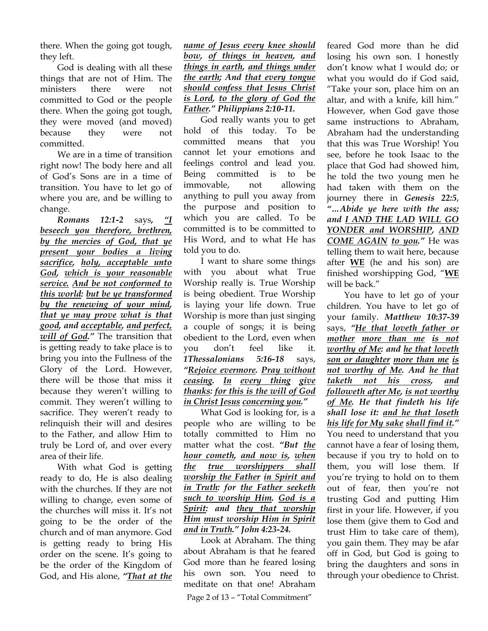there. When the going got tough, they left.

God is dealing with all these things that are not of Him. The ministers there were not committed to God or the people there. When the going got tough, they were moved (and moved) because they were not committed.

We are in a time of transition right now! The body here and all of God's Sons are in a time of transition. You have to let go of where you are, and be willing to change.

*Romans 12:1-2* says*, "I beseech you therefore, brethren, by the mercies of God, that ye present your bodies a living sacrifice, holy, acceptable unto God, which is your reasonable service. And be not conformed to this world: but be ye transformed by the renewing of your mind, that ye may prove what is that good, and acceptable, and perfect, will of God."* The transition that is getting ready to take place is to bring you into the Fullness of the Glory of the Lord. However, there will be those that miss it because they weren't willing to commit. They weren't willing to sacrifice. They weren't ready to relinquish their will and desires to the Father, and allow Him to truly be Lord of, and over every area of their life.

With what God is getting ready to do, He is also dealing with the churches. If they are not willing to change, even some of the churches will miss it. It's not going to be the order of the church and of man anymore. God is getting ready to bring His order on the scene. It's going to be the order of the Kingdom of God, and His alone, *"That at the*  *name of Jesus every knee should bow, of things in heaven, and things in earth, and things under the earth; And that every tongue should confess that Jesus Christ is Lord, to the glory of God the Father." Philippians 2:10-11.*

God really wants you to get hold of this today. To be committed means that you cannot let your emotions and feelings control and lead you. Being committed is to be immovable, not allowing anything to pull you away from the purpose and position to which you are called. To be committed is to be committed to His Word, and to what He has told you to do.

I want to share some things with you about what True Worship really is. True Worship is being obedient. True Worship is laying your life down. True Worship is more than just singing a couple of songs; it is being obedient to the Lord, even when you don't feel like it. *1Thessalonians 5:16-18* says, *"Rejoice evermore. Pray without ceasing. In every thing give thanks: for this is the will of God in Christ Jesus concerning you."* 

What God is looking for, is a people who are willing to be totally committed to Him no matter what the cost. *"But the hour cometh, and now is, when the true worshippers shall worship the Father in Spirit and in Truth: for the Father seeketh such to worship Him. God is a Spirit: and they that worship Him must worship Him in Spirit and in Truth." John 4:23-24.*

Page 2 of 13 – "Total Commitment" Look at Abraham. The thing about Abraham is that he feared God more than he feared losing his own son. You need to meditate on that one! Abraham

feared God more than he did losing his own son. I honestly don't know what I would do; or what you would do if God said, "Take your son, place him on an altar, and with a knife, kill him." However, when God gave those same instructions to Abraham, Abraham had the understanding that this was True Worship! You see, before he took Isaac to the place that God had showed him, he told the two young men he had taken with them on the journey there in *Genesis 22:5*, *"…Abide ye here with the ass; and I AND THE LAD WILL GO YONDER and WORSHIP, AND COME AGAIN to you."* He was telling them to wait here, because after **WE** (he and his son) are finished worshipping God, "**WE** will be back."

You have to let go of your children. You have to let go of your family. *Matthew 10:37-39* says, *"He that loveth father or mother more than me is not worthy of Me: and he that loveth son or daughter more than me is not worthy of Me. And he that taketh not his cross, and followeth after Me, is not worthy of Me. He that findeth his life shall lose it: and he that loseth his life for My sake shall find it."* You need to understand that you cannot have a fear of losing them, because if you try to hold on to them, you will lose them. If you're trying to hold on to them out of fear, then you're not trusting God and putting Him first in your life. However, if you lose them (give them to God and trust Him to take care of them), you gain them. They may be afar off in God, but God is going to bring the daughters and sons in through your obedience to Christ.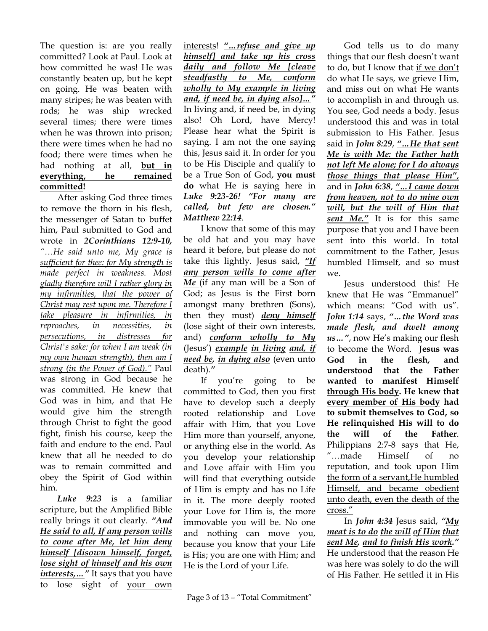The question is: are you really committed? Look at Paul. Look at how committed he was! He was constantly beaten up, but he kept on going. He was beaten with many stripes; he was beaten with rods; he was ship wrecked several times; there were times when he was thrown into prison; there were times when he had no food; there were times when he had nothing at all, **but in everything, he remained committed!** 

After asking God three times to remove the thorn in his flesh, the messenger of Satan to buffet him, Paul submitted to God and wrote in *2Corinthians 12:9-10, "…He said unto me, My grace is sufficient for thee: for My strength is made perfect in weakness. Most gladly therefore will I rather glory in my infirmities, that the power of Christ may rest upon me. Therefore I take pleasure in infirmities, in reproaches, in necessities, in persecutions, in distresses for Christ's sake: for when I am weak (in my own human strength), then am I strong (in the Power of God)."* Paul was strong in God because he was committed. He knew that God was in him, and that He would give him the strength through Christ to fight the good fight, finish his course, keep the faith and endure to the end. Paul knew that all he needed to do was to remain committed and obey the Spirit of God within him.

*Luke 9:23* is a familiar scripture, but the Amplified Bible really brings it out clearly. *"And He said to all, If any person wills to come after Me, let him deny himself [disown himself, forget, lose sight of himself and his own*  interests, ... " It says that you have to lose sight of your own

interests! *"…refuse and give up himself] and take up his cross daily and follow Me [cleave steadfastly to Me, conform wholly to My example in living and, if need be, in dying also]…"* In living and, if need be, in dying also! Oh Lord, have Mercy! Please hear what the Spirit is saying. I am not the one saying this, Jesus said it. In order for you to be His Disciple and qualify to be a True Son of God, **you must do** what He is saying here in *Luke 9:23-26! "For many are called, but few are chosen." Matthew 22:14*.

I know that some of this may be old hat and you may have heard it before, but please do not take this lightly. Jesus said, *"If any person wills to come after Me* (if any man will be a Son of God; as Jesus is the First born amongst many brethren (Sons), then they must) *deny himself* (lose sight of their own interests, and) *conform wholly to My* (Jesus') *example in living and, if need be, in dying also* (even unto death).*"*

If you're going to be committed to God, then you first have to develop such a deeply rooted relationship and Love affair with Him, that you Love Him more than yourself, anyone, or anything else in the world. As you develop your relationship and Love affair with Him you will find that everything outside of Him is empty and has no Life in it. The more deeply rooted your Love for Him is, the more immovable you will be. No one and nothing can move you, because you know that your Life is His; you are one with Him; and He is the Lord of your Life.

God tells us to do many things that our flesh doesn't want to do, but I know that if we don't do what He says, we grieve Him, and miss out on what He wants to accomplish in and through us. You see, God needs a body. Jesus understood this and was in total submission to His Father. Jesus said in *John 8:29*, *"…He that sent Me is with Me: the Father hath not left Me alone; for I do always those things that please Him"*, and in *John 6:38*, *"…I came down from heaven, not to do mine own will, but the will of Him that sent Me."* It is for this same purpose that you and I have been sent into this world. In total commitment to the Father, Jesus humbled Himself, and so must we.

Jesus understood this! He knew that He was "Emmanuel" which means: "God with us". *John 1:14* says, *"…the Word was made flesh, and dwelt among us…"*, now He's making our flesh to become the Word. **Jesus was God in the flesh, and understood that the Father wanted to manifest Himself through His body. He knew that every member of His body had to submit themselves to God, so He relinquished His will to do the will of the Father**. Philippians 2:7-8 says that He, "…made Himself of no reputation, and took upon Him the form of a servant,He humbled Himself, and became obedient unto death, even the death of the cross."

In *John 4:34* Jesus said, *"My meat is to do the will of Him that sent Me, and to finish His work."* He understood that the reason He was here was solely to do the will of His Father. He settled it in His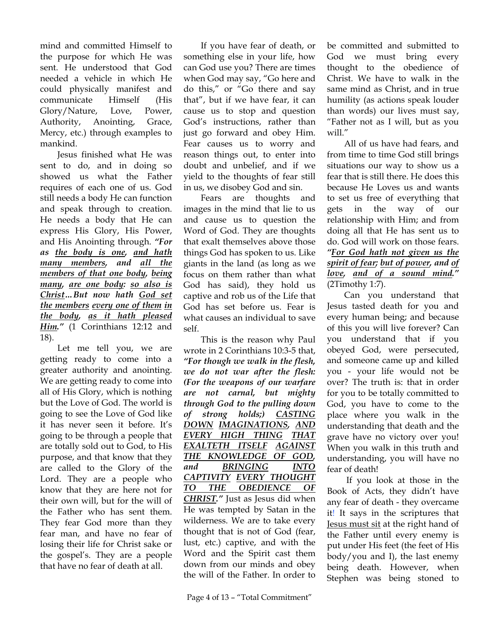mind and committed Himself to the purpose for which He was sent. He understood that God needed a vehicle in which He could physically manifest and communicate Himself (His Glory/Nature, Love, Power, Authority, Anointing, Grace, Mercy, etc.) through examples to mankind.

Jesus finished what He was sent to do, and in doing so showed us what the Father requires of each one of us. God still needs a body He can function and speak through to creation. He needs a body that He can express His Glory, His Power, and His Anointing through. *"For as the body is one, and hath many members, and all the members of that one body, being many, are one body: so also is Christ…But now hath God set the members every one of them in the body, as it hath pleased Him."* (1 Corinthians 12:12 and 18).

Let me tell you, we are getting ready to come into a greater authority and anointing. We are getting ready to come into all of His Glory, which is nothing but the Love of God. The world is going to see the Love of God like it has never seen it before. It's going to be through a people that are totally sold out to God, to His purpose, and that know that they are called to the Glory of the Lord. They are a people who know that they are here not for their own will, but for the will of the Father who has sent them. They fear God more than they fear man, and have no fear of losing their life for Christ sake or the gospel's. They are a people that have no fear of death at all.

If you have fear of death, or something else in your life, how can God use you? There are times when God may say, "Go here and do this," or "Go there and say that", but if we have fear, it can cause us to stop and question God's instructions, rather than just go forward and obey Him. Fear causes us to worry and reason things out, to enter into doubt and unbelief, and if we yield to the thoughts of fear still in us, we disobey God and sin.

Fears are thoughts and images in the mind that lie to us and cause us to question the Word of God. They are thoughts that exalt themselves above those things God has spoken to us. Like giants in the land (as long as we focus on them rather than what God has said), they hold us captive and rob us of the Life that God has set before us. Fear is what causes an individual to save self.

This is the reason why Paul wrote in 2 Corinthians 10:3-5 that, *"For though we walk in the flesh, we do not war after the flesh: (For the weapons of our warfare are not carnal, but mighty through God to the pulling down of strong holds;) CASTING DOWN IMAGINATIONS, AND EVERY HIGH THING THAT EXALTETH ITSELF AGAINST THE KNOWLEDGE OF GOD, and BRINGING INTO CAPTIVITY EVERY THOUGHT TO THE OBEDIENCE OF CHRIST."* Just as Jesus did when He was tempted by Satan in the wilderness. We are to take every thought that is not of God (fear, lust, etc.) captive, and with the Word and the Spirit cast them down from our minds and obey the will of the Father. In order to be committed and submitted to God we must bring every thought to the obedience of Christ. We have to walk in the same mind as Christ, and in true humility (as actions speak louder than words) our lives must say, "Father not as I will, but as you will."

All of us have had fears, and from time to time God still brings situations our way to show us a fear that is still there. He does this because He Loves us and wants to set us free of everything that gets in the way of our relationship with Him; and from doing all that He has sent us to do. God will work on those fears. *"For God hath not given us the spirit of fear; but of power, and of love, and of a sound mind."* (2Timothy 1:7).

Can you understand that Jesus tasted death for you and every human being; and because of this you will live forever? Can you understand that if you obeyed God, were persecuted, and someone came up and killed you - your life would not be over? The truth is: that in order for you to be totally committed to God, you have to come to the place where you walk in the understanding that death and the grave have no victory over you! When you walk in this truth and understanding, you will have no fear of death!

 If you look at those in the Book of Acts, they didn't have any fear of death - they overcame it! It says in the scriptures that Jesus must sit at the right hand of the Father until every enemy is put under His feet (the feet of His body/you and I), the last enemy being death. However, when Stephen was being stoned to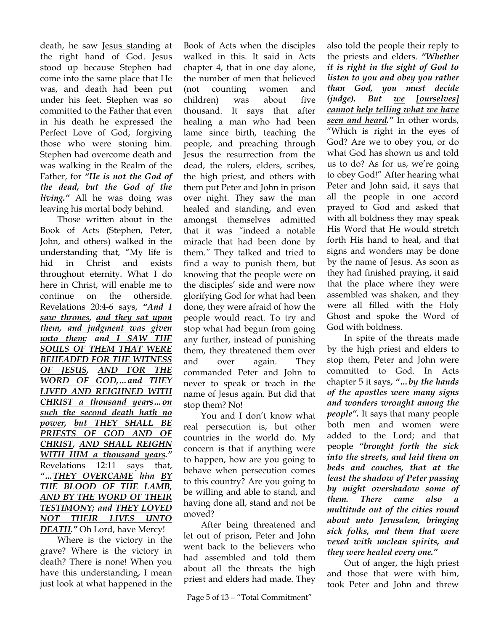death, he saw Jesus standing at the right hand of God. Jesus stood up because Stephen had come into the same place that He was, and death had been put under his feet. Stephen was so committed to the Father that even in his death he expressed the Perfect Love of God, forgiving those who were stoning him. Stephen had overcome death and was walking in the Realm of the Father, for *"He is not the God of the dead, but the God of the living."* All he was doing was leaving his mortal body behind.

Those written about in the Book of Acts (Stephen, Peter, John, and others) walked in the understanding that, "My life is hid in Christ and exists throughout eternity. What I do here in Christ, will enable me to continue on the otherside. Revelations 20:4-6 says, *"And I saw thrones, and they sat upon them, and judgment was given unto them: and I SAW THE SOULS OF THEM THAT WERE BEHEADED FOR THE WITNESS OF JESUS, AND FOR THE WORD OF GOD,…and THEY LIVED AND REIGHNED WITH CHRIST a thousand years…on such the second death hath no power, but THEY SHALL BE PRIESTS OF GOD AND OF CHRIST, AND SHALL REIGHN WITH HIM a thousand years."*  Revelations 12:11 says that, *"…THEY OVERCAME him BY THE BLOOD OF THE LAMB, AND BY THE WORD OF THEIR TESTIMONY; and THEY LOVED NOT THEIR LIVES UNTO DEATH."* Oh Lord, have Mercy!

Where is the victory in the grave? Where is the victory in death? There is none! When you have this understanding, I mean just look at what happened in the

Book of Acts when the disciples walked in this. It said in Acts chapter 4, that in one day alone, the number of men that believed (not counting women and children) was about five thousand. It says that after healing a man who had been lame since birth, teaching the people, and preaching through Jesus the resurrection from the dead, the rulers, elders, scribes, the high priest, and others with them put Peter and John in prison over night. They saw the man healed and standing, and even amongst themselves admitted that it was *"*indeed a notable miracle that had been done by them.*"* They talked and tried to find a way to punish them, but knowing that the people were on the disciples' side and were now glorifying God for what had been done, they were afraid of how the people would react. To try and stop what had begun from going any further, instead of punishing them, they threatened them over and over again. They commanded Peter and John to never to speak or teach in the name of Jesus again. But did that stop them? No!

You and I don't know what real persecution is, but other countries in the world do. My concern is that if anything were to happen, how are you going to behave when persecution comes to this country? Are you going to be willing and able to stand, and having done all, stand and not be moved?

After being threatened and let out of prison, Peter and John went back to the believers who had assembled and told them about all the threats the high priest and elders had made. They

also told the people their reply to the priests and elders. *"Whether it is right in the sight of God to listen to you and obey you rather than God, you must decide (judge). But we [ourselves] cannot help telling what we have seen and heard."* In other words, "Which is right in the eyes of God? Are we to obey you, or do what God has shown us and told us to do? As for us, we're going to obey God!" After hearing what Peter and John said, it says that all the people in one accord prayed to God and asked that with all boldness they may speak His Word that He would stretch forth His hand to heal, and that signs and wonders may be done by the name of Jesus. As soon as they had finished praying, it said that the place where they were assembled was shaken, and they were all filled with the Holy Ghost and spoke the Word of God with boldness.

In spite of the threats made by the high priest and elders to stop them, Peter and John were committed to God. In Acts chapter 5 it says, *"…by the hands of the apostles were many signs and wonders wrought among the people".* It says that many people both men and women were added to the Lord; and that people *"brought forth the sick into the streets, and laid them on beds and couches, that at the least the shadow of Peter passing by might overshadow some of them. There came also a multitude out of the cities round about unto Jerusalem, bringing sick folks, and them that were vexed with unclean spirits, and they were healed every one."*

Out of anger, the high priest and those that were with him, took Peter and John and threw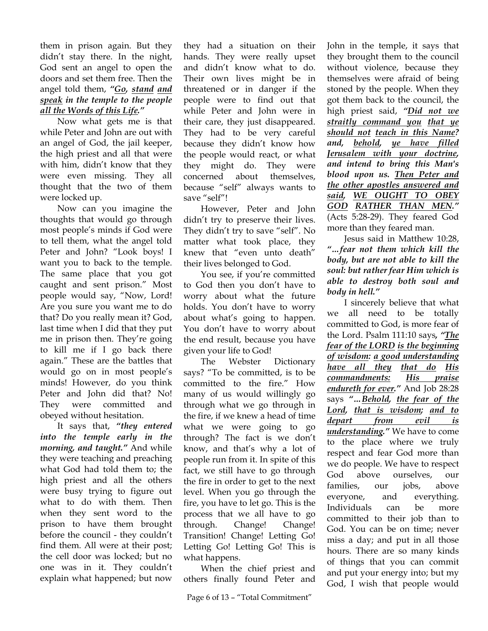them in prison again. But they didn't stay there. In the night, God sent an angel to open the doors and set them free. Then the angel told them, *"Go, stand and speak in the temple to the people all the Words of this Life."*

Now what gets me is that while Peter and John are out with an angel of God, the jail keeper, the high priest and all that were with him, didn't know that they were even missing. They all thought that the two of them were locked up.

Now can you imagine the thoughts that would go through most people's minds if God were to tell them, what the angel told Peter and John? "Look boys! I want you to back to the temple. The same place that you got caught and sent prison." Most people would say, "Now, Lord! Are you sure you want me to do that? Do you really mean it? God, last time when I did that they put me in prison then. They're going to kill me if I go back there again." These are the battles that would go on in most people's minds! However, do you think Peter and John did that? No! They were committed and obeyed without hesitation.

It says that, *"they entered into the temple early in the morning, and taught."* And while they were teaching and preaching what God had told them to; the high priest and all the others were busy trying to figure out what to do with them. Then when they sent word to the prison to have them brought before the council - they couldn't find them. All were at their post; the cell door was locked; but no one was in it. They couldn't explain what happened; but now

they had a situation on their hands. They were really upset and didn't know what to do. Their own lives might be in threatened or in danger if the people were to find out that while Peter and John were in their care, they just disappeared. They had to be very careful because they didn't know how the people would react, or what they might do. They were concerned about themselves, because "self" always wants to save "self"!

However, Peter and John didn't try to preserve their lives. They didn't try to save "self". No matter what took place, they knew that "even unto death" their lives belonged to God.

You see, if you're committed to God then you don't have to worry about what the future holds. You don't have to worry about what's going to happen. You don't have to worry about the end result, because you have given your life to God!

The Webster Dictionary says? "To be committed, is to be committed to the fire." How many of us would willingly go through what we go through in the fire, if we knew a head of time what we were going to go through? The fact is we don't know, and that's why a lot of people run from it. In spite of this fact, we still have to go through the fire in order to get to the next level. When you go through the fire, you have to let go. This is the process that we all have to go through. Change! Change! Transition! Change! Letting Go! Letting Go! Letting Go! This is what happens.

When the chief priest and others finally found Peter and John in the temple, it says that they brought them to the council without violence, because they themselves were afraid of being stoned by the people. When they got them back to the council, the high priest said, *"Did not we straitly command you that ye should not teach in this Name? and, behold, ye have filled Jerusalem with your doctrine, and intend to bring this Man's blood upon us. Then Peter and the other apostles answered and said, WE OUGHT TO OBEY GOD RATHER THAN MEN."* (Acts 5:28-29). They feared God more than they feared man.

Jesus said in Matthew 10:28, *"…fear not them which kill the body, but are not able to kill the soul: but rather fear Him which is able to destroy both soul and body in hell."* 

I sincerely believe that what we all need to be totally committed to God, is more fear of the Lord. Psalm 111:10 says*, "The fear of the LORD is the beginning of wisdom: a good understanding have all they that do His commandments: His praise endureth for ever."* And Job 28:28 says *"…Behold, the fear of the Lord, that is wisdom; and to depart from evil is understanding."* We have to come to the place where we truly respect and fear God more than we do people. We have to respect God above ourselves, our families, our jobs, above everyone, and everything. Individuals can be more committed to their job than to God. You can be on time; never miss a day; and put in all those hours. There are so many kinds of things that you can commit and put your energy into; but my God, I wish that people would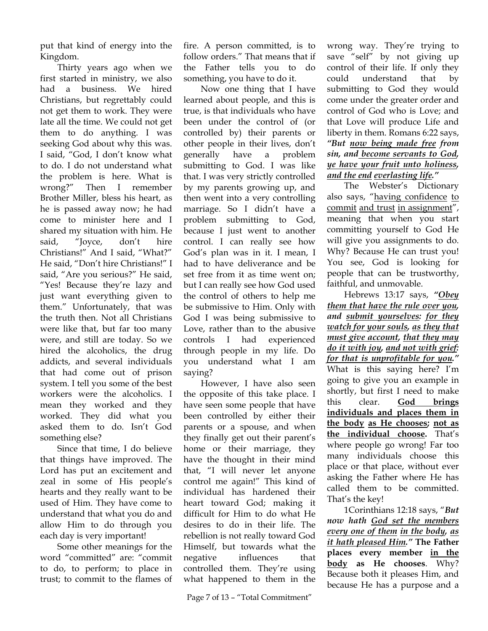put that kind of energy into the Kingdom.

Thirty years ago when we first started in ministry, we also had a business. We hired Christians, but regrettably could not get them to work. They were late all the time. We could not get them to do anything. I was seeking God about why this was. I said, "God, I don't know what to do. I do not understand what the problem is here. What is wrong?" Then I remember Brother Miller, bless his heart, as he is passed away now; he had come to minister here and I shared my situation with him. He said, "Joyce, don't hire Christians!" And I said, "What?" He said, "Don't hire Christians!" I said, "Are you serious?" He said, "Yes! Because they're lazy and just want everything given to them." Unfortunately, that was the truth then. Not all Christians were like that, but far too many were, and still are today. So we hired the alcoholics, the drug addicts, and several individuals that had come out of prison system. I tell you some of the best workers were the alcoholics. I mean they worked and they worked. They did what you asked them to do. Isn't God something else?

Since that time, I do believe that things have improved. The Lord has put an excitement and zeal in some of His people's hearts and they really want to be used of Him. They have come to understand that what you do and allow Him to do through you each day is very important!

Some other meanings for the word "committed" are: "commit to do, to perform; to place in trust; to commit to the flames of fire. A person committed, is to follow orders." That means that if the Father tells you to do something, you have to do it.

Now one thing that I have learned about people, and this is true, is that individuals who have been under the control of (or controlled by) their parents or other people in their lives, don't generally have a problem submitting to God. I was like that. I was very strictly controlled by my parents growing up, and then went into a very controlling marriage. So I didn't have a problem submitting to God, because I just went to another control. I can really see how God's plan was in it. I mean, I had to have deliverance and be set free from it as time went on; but I can really see how God used the control of others to help me be submissive to Him. Only with God I was being submissive to Love, rather than to the abusive controls I had experienced through people in my life. Do you understand what I am saying?

However, I have also seen the opposite of this take place. I have seen some people that have been controlled by either their parents or a spouse, and when they finally get out their parent's home or their marriage, they have the thought in their mind that, "I will never let anyone control me again!" This kind of individual has hardened their heart toward God; making it difficult for Him to do what He desires to do in their life. The rebellion is not really toward God Himself, but towards what the negative influences that controlled them. They're using what happened to them in the

wrong way. They're trying to save "self" by not giving up control of their life. If only they could understand that by submitting to God they would come under the greater order and control of God who is Love; and that Love will produce Life and liberty in them. Romans 6:22 says, *"But now being made free from sin, and become servants to God, ye have your fruit unto holiness, and the end everlasting life."*

The Webster's Dictionary also says, "having confidence to commit and trust in assignment", meaning that when you start committing yourself to God He will give you assignments to do. Why? Because He can trust you! You see, God is looking for people that can be trustworthy, faithful, and unmovable.

Hebrews 13:17 says, *"Obey them that have the rule over you, and submit yourselves: for they watch for your souls, as they that must give account, that they may do it with joy, and not with grief: for that is unprofitable for you."* What is this saying here? I'm going to give you an example in shortly, but first I need to make this clear. **God brings individuals and places them in the body as He chooses; not as the individual choose.** That's where people go wrong! Far too many individuals choose this place or that place, without ever asking the Father where He has called them to be committed. That's the key!

1Corinthians 12:18 says, "*But now hath God set the members every one of them in the body, as it hath pleased Him."* **The Father places every member in the body as He chooses**. Why? Because both it pleases Him, and because He has a purpose and a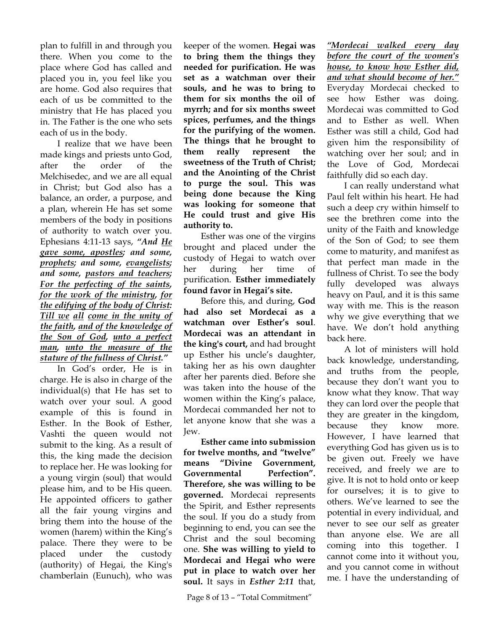plan to fulfill in and through you there. When you come to the place where God has called and placed you in, you feel like you are home. God also requires that each of us be committed to the ministry that He has placed you in. The Father is the one who sets each of us in the body.

I realize that we have been made kings and priests unto God, after the order of the Melchisedec, and we are all equal in Christ; but God also has a balance, an order, a purpose, and a plan, wherein He has set some members of the body in positions of authority to watch over you. Ephesians 4:11-13 says, *"And He gave some, apostles; and some, prophets; and some, evangelists; and some, pastors and teachers; For the perfecting of the saints, for the work of the ministry, for the edifying of the body of Christ: Till we all come in the unity of the faith, and of the knowledge of the Son of God, unto a perfect man, unto the measure of the stature of the fullness of Christ."*

In God's order, He is in charge. He is also in charge of the individual(s) that He has set to watch over your soul. A good example of this is found in Esther. In the Book of Esther, Vashti the queen would not submit to the king. As a result of this, the king made the decision to replace her. He was looking for a young virgin (soul) that would please him, and to be His queen. He appointed officers to gather all the fair young virgins and bring them into the house of the women (harem) within the King's palace. There they were to be placed under the custody (authority) of Hegai, the King's chamberlain (Eunuch), who was

keeper of the women. **Hegai was to bring them the things they needed for purification. He was set as a watchman over their souls, and he was to bring to them for six months the oil of myrrh; and for six months sweet spices, perfumes, and the things for the purifying of the women. The things that he brought to them really represent the sweetness of the Truth of Christ; and the Anointing of the Christ to purge the soul. This was being done because the King was looking for someone that He could trust and give His authority to.** 

Esther was one of the virgins brought and placed under the custody of Hegai to watch over her during her time of purification. **Esther immediately found favor in Hegai's site.**

Before this, and during, **God had also set Mordecai as a watchman over Esther's soul**. **Mordecai was an attendant in the king's court,** and had brought up Esther his uncle's daughter, taking her as his own daughter after her parents died. Before she was taken into the house of the women within the King's palace, Mordecai commanded her not to let anyone know that she was a Jew.

**Esther came into submission for twelve months, and "twelve" means "Divine Government, Governmental Perfection". Therefore, she was willing to be governed.** Mordecai represents the Spirit, and Esther represents the soul. If you do a study from beginning to end, you can see the Christ and the soul becoming one. **She was willing to yield to Mordecai and Hegai who were put in place to watch over her soul.** It says in *Esther 2:11* that,

*"Mordecai walked every day before the court of the women's house, to know how Esther did, and what should become of her."* Everyday Mordecai checked to see how Esther was doing. Mordecai was committed to God and to Esther as well. When Esther was still a child, God had given him the responsibility of watching over her soul; and in the Love of God, Mordecai faithfully did so each day.

I can really understand what Paul felt within his heart. He had such a deep cry within himself to see the brethren come into the unity of the Faith and knowledge of the Son of God; to see them come to maturity, and manifest as that perfect man made in the fullness of Christ. To see the body fully developed was always heavy on Paul, and it is this same way with me. This is the reason why we give everything that we have. We don't hold anything back here.

A lot of ministers will hold back knowledge, understanding, and truths from the people, because they don't want you to know what they know. That way they can lord over the people that they are greater in the kingdom, because they know more. However, I have learned that everything God has given us is to be given out. Freely we have received, and freely we are to give. It is not to hold onto or keep for ourselves; it is to give to others. We've learned to see the potential in every individual, and never to see our self as greater than anyone else. We are all coming into this together. I cannot come into it without you, and you cannot come in without me. I have the understanding of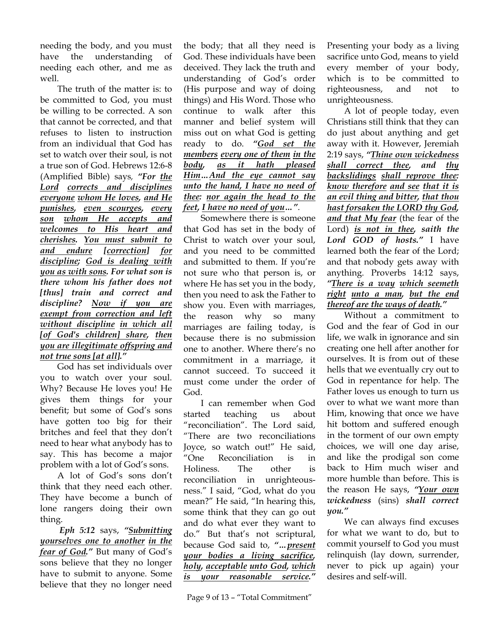needing the body, and you must have the understanding of needing each other, and me as well.

The truth of the matter is: to be committed to God, you must be willing to be corrected. A son that cannot be corrected, and that refuses to listen to instruction from an individual that God has set to watch over their soul, is not a true son of God. Hebrews 12:6-8 (Amplified Bible) says*, "For the Lord corrects and disciplines everyone whom He loves, and He punishes, even scourges, every son whom He accepts and welcomes to His heart and cherishes. You must submit to and endure [correction] for discipline; God is dealing with you as with sons. For what son is there whom his father does not [thus] train and correct and discipline? Now if you are exempt from correction and left without discipline in which all [of God's children] share, then you are illegitimate offspring and not true sons [at all]."* 

God has set individuals over you to watch over your soul. Why? Because He loves you! He gives them things for your benefit; but some of God's sons have gotten too big for their britches and feel that they don't need to hear what anybody has to say. This has become a major problem with a lot of God's sons.

A lot of God's sons don't think that they need each other. They have become a bunch of lone rangers doing their own thing.

*Eph 5:12* says, *"Submitting yourselves one to another in the fear of God."* But many of God's sons believe that they no longer have to submit to anyone. Some believe that they no longer need

the body; that all they need is God. These individuals have been deceived. They lack the truth and understanding of God's order (His purpose and way of doing things) and His Word. Those who continue to walk after this manner and belief system will miss out on what God is getting ready to do. *"God set the members every one of them in the body, as it hath pleased Him…And the eye cannot say unto the hand, I have no need of thee: nor again the head to the feet, I have no need of you…"*.

Somewhere there is someone that God has set in the body of Christ to watch over your soul, and you need to be committed and submitted to them. If you're not sure who that person is, or where He has set you in the body, then you need to ask the Father to show you. Even with marriages, the reason why so many marriages are failing today, is because there is no submission one to another. Where there's no commitment in a marriage, it cannot succeed. To succeed it must come under the order of God.

I can remember when God started teaching us about "reconciliation". The Lord said, "There are two reconciliations Joyce, so watch out!" He said, "One Reconciliation is in Holiness. The other is reconciliation in unrighteousness." I said, "God, what do you mean?" He said, "In hearing this, some think that they can go out and do what ever they want to do." But that's not scriptural, because God said to, *"…present your bodies a living sacrifice, holy, acceptable unto God, which is your reasonable service."*

Presenting your body as a living sacrifice unto God, means to yield every member of your body, which is to be committed to righteousness, and not to unrighteousness.

A lot of people today, even Christians still think that they can do just about anything and get away with it. However, Jeremiah 2:19 says, *"Thine own wickedness shall correct thee, and thy backslidings shall reprove thee: know therefore and see that it is an evil thing and bitter, that thou hast forsaken the LORD thy God, and that My fear* (the fear of the Lord) *is not in thee, saith the Lord GOD of hosts."* I have learned both the fear of the Lord; and that nobody gets away with anything. Proverbs 14:12 says, *"There is a way which seemeth right unto a man, but the end thereof are the ways of death."* 

Without a commitment to God and the fear of God in our life, we walk in ignorance and sin creating one hell after another for ourselves. It is from out of these hells that we eventually cry out to God in repentance for help. The Father loves us enough to turn us over to what we want more than Him, knowing that once we have hit bottom and suffered enough in the torment of our own empty choices, we will one day arise, and like the prodigal son come back to Him much wiser and more humble than before. This is the reason He says, *"Your own wickedness* (sins) *shall correct you."* 

We can always find excuses for what we want to do, but to commit yourself to God you must relinquish (lay down, surrender, never to pick up again) your desires and self-will.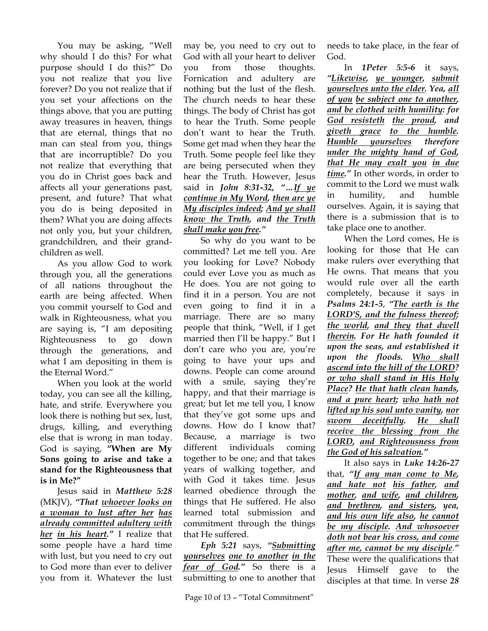You may be asking, "Well why should I do this? For what purpose should I do this?" Do you not realize that you live forever? Do you not realize that if you set your affections on the things above, that you are putting away treasures in heaven, things that are eternal, things that no man can steal from you, things that are incorruptible? Do you not realize that everything that you do in Christ goes back and affects all your generations past, present, and future? That what you do is being deposited in them? What you are doing affects not only you, but your children, grandchildren, and their grandchildren as well.

As you allow God to work through you, all the generations of all nations throughout the earth are being affected. When you commit yourself to God and walk in Righteousness, what you are saying is, "I am depositing Righteousness to go down through the generations, and what I am depositing in them is the Eternal Word."

When you look at the world today, you can see all the killing, hate, and strife. Everywhere you look there is nothing but sex, lust, drugs, killing, and everything else that is wrong in man today. God is saying, **"When are My Sons going to arise and take a stand for the Righteousness that is in Me?"**

Jesus said in *Matthew 5:28* (MKJV), *"That whoever looks on a woman to lust after her has already committed adultery with her in his heart."* I realize that some people have a hard time with lust, but you need to cry out to God more than ever to deliver you from it. Whatever the lust

may be, you need to cry out to God with all your heart to deliver you from those thoughts. Fornication and adultery are nothing but the lust of the flesh. The church needs to hear these things. The body of Christ has got to hear the Truth. Some people don't want to hear the Truth. Some get mad when they hear the Truth. Some people feel like they are being persecuted when they hear the Truth. However, Jesus said in *John 8:31-32, "…If ye continue in My Word, then are ye My disciples indeed; And ye shall know the Truth, and the Truth shall make you free."*

 So why do you want to be committed? Let me tell you. Are you looking for Love? Nobody could ever Love you as much as He does. You are not going to find it in a person. You are not even going to find it in a marriage. There are so many people that think, "Well, if I get married then I'll be happy." But I don't care who you are, you're going to have your ups and downs. People can come around with a smile, saying they're happy, and that their marriage is great; but let me tell you, I know that they've got some ups and downs. How do I know that? Because, a marriage is two different individuals coming together to be one; and that takes years of walking together, and with God it takes time. Jesus learned obedience through the things that He suffered. He also learned total submission and commitment through the things that He suffered.

*Eph 5:21* says, *"Submitting yourselves one to another in the fear of God."* So there is a submitting to one to another that

needs to take place, in the fear of God.

In *1Peter 5:5-6* it says, *"Likewise, ye younger, submit yourselves unto the elder. Yea, all of you be subject one to another, and be clothed with humility: for God resisteth the proud, and giveth grace to the humble. Humble yourselves therefore under the mighty hand of God, that He may exalt you in due time."* In other words, in order to commit to the Lord we must walk in humility, and humble ourselves. Again, it is saying that there is a submission that is to take place one to another.

When the Lord comes, He is looking for those that He can make rulers over everything that He owns. That means that you would rule over all the earth completely, because it says in *Psalms 24:1-5*, *"The earth is the LORD'S, and the fulness thereof; the world, and they that dwell therein. For He hath founded it upon the seas, and established it upon the floods. Who shall ascend into the hill of the LORD? or who shall stand in His Holy Place? He that hath clean hands, and a pure heart; who hath not lifted up his soul unto vanity, nor sworn deceitfully. He shall receive the blessing from the LORD, and Righteousness from the God of his salvation."*

It also says in *Luke 14:26-27*  that, *"If any man come to Me, and hate not his father, and mother, and wife, and children, and brethren, and sisters, yea, and his own life also, he cannot be my disciple. And whosoever doth not bear his cross, and come after me, cannot be my disciple*.*"* These were the qualifications that Jesus Himself gave to the disciples at that time. In verse *28*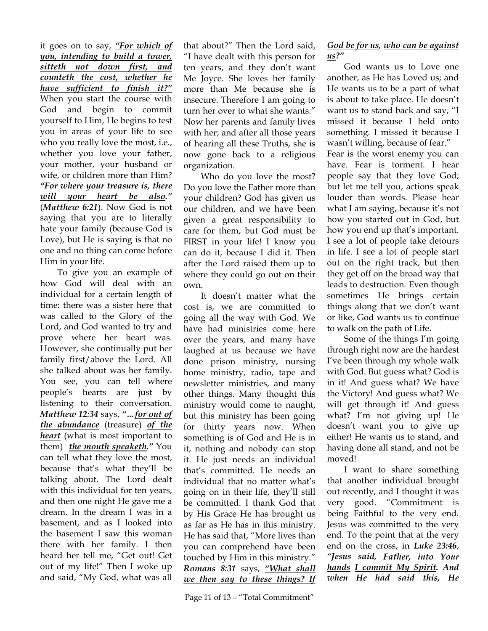it goes on to say, *"For which of you, intending to build a tower, sitteth not down first, and counteth the cost, whether he have sufficient to finish it?"* When you start the course with God and begin to commit yourself to Him, He begins to test you in areas of your life to see who you really love the most, i.e., whether you love your father, your mother, your husband or wife, or children more than Him? *"For where your treasure is, there will your heart be also."* (*Matthew 6:21*). Now God is not saying that you are to literally hate your family (because God is Love), but He is saying is that no one and no thing can come before Him in your life.

 To give you an example of how God will deal with an individual for a certain length of time: there was a sister here that was called to the Glory of the Lord, and God wanted to try and prove where her heart was. However, she continually put her family first/above the Lord. All she talked about was her family. You see, you can tell where people's hearts are just by listening to their conversation. *Matthew 12:34* says, *"…for out of the abundance* (treasure) *of the heart* (what is most important to them) *the mouth speaketh."* You can tell what they love the most, because that's what they'll be talking about. The Lord dealt with this individual for ten years, and then one night He gave me a dream. In the dream I was in a basement, and as I looked into the basement I saw this woman there with her family. I then heard her tell me, "Get out! Get out of my life!" Then I woke up and said, "My God, what was all

that about?" Then the Lord said, "I have dealt with this person for ten years, and they don't want Me Joyce. She loves her family more than Me because she is insecure. Therefore I am going to turn her over to what she wants." Now her parents and family lives with her; and after all those years of hearing all these Truths, she is now gone back to a religious organization.

Who do you love the most? Do you love the Father more than your children? God has given us our children, and we have been given a great responsibility to care for them, but God must be FIRST in your life! I know you can do it, because I did it. Then after the Lord raised them up to where they could go out on their own.

 It doesn't matter what the cost is, we are committed to going all the way with God. We have had ministries come here over the years, and many have laughed at us because we have done prison ministry, nursing home ministry, radio, tape and newsletter ministries, and many other things. Many thought this ministry would come to naught, but this ministry has been going for thirty years now. When something is of God and He is in it, nothing and nobody can stop it. He just needs an individual that's committed. He needs an individual that no matter what's going on in their life, they'll still be committed. I thank God that by His Grace He has brought us as far as He has in this ministry. He has said that, "More lives than you can comprehend have been touched by Him in this ministry." *Romans 8:31* says, *"What shall we then say to these things? If* 

 God wants us to Love one another, as He has Loved us; and He wants us to be a part of what is about to take place. He doesn't want us to stand back and say, "I missed it because I held onto something. I missed it because I wasn't willing, because of fear." Fear is the worst enemy you can have. Fear is torment. I hear people say that they love God; but let me tell you, actions speak louder than words. Please hear what I am saying, because it's not how you started out in God, but how you end up that's important. I see a lot of people take detours in life. I see a lot of people start out on the right track, but then they get off on the broad way that leads to destruction. Even though sometimes He brings certain things along that we don't want or like, God wants us to continue to walk on the path of Life.

 Some of the things I'm going through right now are the hardest I've been through my whole walk with God. But guess what? God is in it! And guess what? We have the Victory! And guess what? We will get through it! And guess what? I'm not giving up! He doesn't want you to give up either! He wants us to stand, and having done all stand, and not be moved!

I want to share something that another individual brought out recently, and I thought it was very good. "Commitment is being Faithful to the very end. Jesus was committed to the very end. To the point that at the very end on the cross, in *Luke 23:46*, *"Jesus said, Father, into Your hands I commit My Spirit. And when He had said this, He*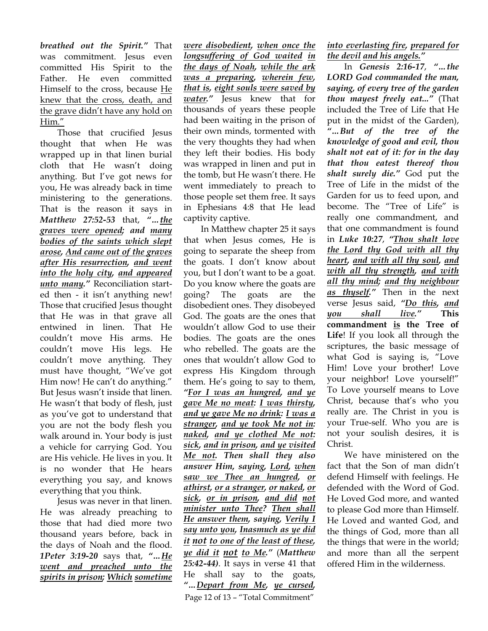*breathed out the Spirit."* That was commitment. Jesus even committed His Spirit to the Father. He even committed Himself to the cross, because He knew that the cross, death, and the grave didn't have any hold on Him."

Those that crucified Jesus thought that when He was wrapped up in that linen burial cloth that He wasn't doing anything. But I've got news for you, He was already back in time ministering to the generations. That is the reason it says in *Matthew 27:52-53* that, *"…the graves were opened; and many bodies of the saints which slept arose, And came out of the graves after His resurrection, and went into the holy city, and appeared unto many."* Reconciliation started then - it isn't anything new! Those that crucified Jesus thought that He was in that grave all entwined in linen. That He couldn't move His arms. He couldn't move His legs. He couldn't move anything. They must have thought, "We've got Him now! He can't do anything." But Jesus wasn't inside that linen. He wasn't that body of flesh, just as you've got to understand that you are not the body flesh you walk around in. Your body is just a vehicle for carrying God. You are His vehicle. He lives in you. It is no wonder that He hears everything you say, and knows everything that you think.

Jesus was never in that linen. He was already preaching to those that had died more two thousand years before, back in the days of Noah and the flood. *1Peter 3:19-20* says that, *"…He went and preached unto the spirits in prison; Which sometime* 

*were disobedient, when once the longsuffering of God waited in the days of Noah, while the ark was a preparing, wherein few, that is, eight souls were saved by water."* Jesus knew that for thousands of years these people had been waiting in the prison of their own minds, tormented with the very thoughts they had when they left their bodies. His body was wrapped in linen and put in the tomb, but He wasn't there. He went immediately to preach to those people set them free. It says in Ephesians 4:8 that He lead captivity captive.

Page 12 of 13 – "Total Commitment" In Matthew chapter 25 it says that when Jesus comes, He is going to separate the sheep from the goats. I don't know about you, but I don't want to be a goat. Do you know where the goats are going? The goats are the disobedient ones. They disobeyed God. The goats are the ones that wouldn't allow God to use their bodies. The goats are the ones who rebelled. The goats are the ones that wouldn't allow God to express His Kingdom through them. He's going to say to them, *"For I was an hungred, and ye gave Me no meat: I was thirsty, and ye gave Me no drink: I was a stranger, and ye took Me not in: naked, and ye clothed Me not: sick, and in prison, and ye visited Me not. Then shall they also answer Him, saying, Lord, when saw we Thee an hungred, or athirst, or a stranger, or naked, or sick, or in prison, and did not minister unto Thee? Then shall He answer them, saying, Verily I say unto you, Inasmuch as ye did it not to one of the least of these, ye did it not to Me."* (*Matthew 25:42-44)*. It says in verse 41 that He shall say to the goats, *"…Depart from Me, ye cursed,* 

*into everlasting fire, prepared for the devil and his angels."*

In *Genesis 2:16-17*, *"…the LORD God commanded the man, saying, of every tree of the garden thou mayest freely eat..."* (That included the Tree of Life that He put in the midst of the Garden), *"…But of the tree of the knowledge of good and evil, thou shalt not eat of it: for in the day that thou eatest thereof thou shalt surely die."* God put the Tree of Life in the midst of the Garden for us to feed upon, and become. The "Tree of Life" is really one commandment, and that one commandment is found in *Luke 10:27*, *"Thou shalt love the Lord thy God with all thy heart, and with all thy soul, and with all thy strength, and with all thy mind; and thy neighbour as thyself."* Then in the next verse Jesus said, *"Do this, and you shall live."* **This commandment is the Tree of Life**! If you look all through the scriptures, the basic message of what God is saying is, "Love Him! Love your brother! Love your neighbor! Love yourself!" To Love yourself means to Love Christ, because that's who you really are. The Christ in you is your True-self. Who you are is not your soulish desires, it is Christ.

We have ministered on the fact that the Son of man didn't defend Himself with feelings. He defended with the Word of God. He Loved God more, and wanted to please God more than Himself. He Loved and wanted God, and the things of God, more than all the things that were in the world; and more than all the serpent offered Him in the wilderness.